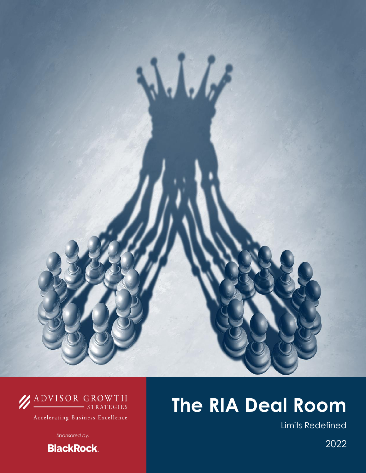

## **ADVISOR GROWTH**

Accelerating Business Excellence

*Sponsored by:*

**BlackRock.** 

# **The RIA Deal Room**

Limits Redefined

2022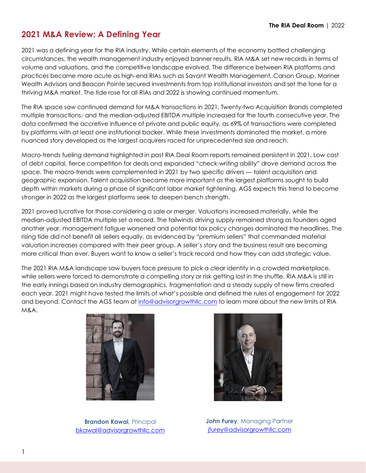## **2021 M&A Review: A Defining Year**

2021 was a defining year for the RIA industry. While certain elements of the economy battled challenging circumstances, the wealth management industry enjoyed banner results. RIA M&A set new records in terms of volume and valuations, and the competitive landscape evolved. The difference between RIA platforms and practices became more acute as high-end RIAs such as Savant Wealth Management, Carson Group, Mariner Wealth Advisors and Beacon Pointe secured investments from top institutional investors and set the tone for a thriving M&A market. The tide rose for all RIAs and 2022 is showing continued momentum.

The RIA space saw continued demand for M&A transactions in 2021. Twenty-two Acquisition Brands completed multiple transactions,<sup>i</sup> and the median-adjusted EBITDA multiple increased for the fourth consecutive year. The data confirmed the accretive influence of private and public equity, as 69% of transactions were completed by platforms with at least one institutional backer. While these investments dominated the market, a more nuanced story developed as the largest acquirers raced for unprecedented size and reach.

Macro-trends fueling demand highlighted in past RIA Deal Room reports remained persistent in 2021. Low cost of debt capital, fierce competition for deals and expanded "check-writing ability" drove demand across the space. The macro-trends were complemented in 2021 by two specific drivers — talent acquisition and geographic expansion. Talent acquisition became more important as the largest platforms sought to build depth within markets during a phase of significant labor market tightening. AGS expects this trend to become stronger in 2022 as the largest platforms seek to deepen bench strength.

2021 proved lucrative for those considering a sale or merger. Valuations increased materially, while the median-adjusted EBITDA multiple set a record. The tailwinds driving supply remained strong as founders aged another year, management fatigue worsened and potential tax policy changes dominated the headlines. The rising tide did not benefit all sellers equally, as evidenced by "premium sellers" that commanded material valuation increases compared with their peer group. A seller's story and the business result are becoming more critical than ever. Buyers want to know a seller's track record and how they can add strategic value.

The 2021 RIA M&A landscape saw buyers face pressure to pick a clear identity in a crowded marketplace, while sellers were forced to demonstrate a compelling story or risk getting lost in the shuffle. RIA M&A is still in the early innings based on industry demographics, fragmentation and a steady supply of new firms created each year. 2021 might have tested the limits of what's possible and defined the rules of engagement for 2022 and beyond. Contact the AGS te[am at info@advisorgrowthllc.c](mailto:info@advisorgrowthllc.com)om to learn more about the new limits of RIA M&A.



**Brandon Kawal**, Principal [bkawal@advisorgrowthllc.com](mailto:bkawal@advisorgrowthllc.com)



**John Furey**, Managing Partner [jfurey@advisorgrowthllc.com](mailto:jfurey@advisorgrowthllc.com)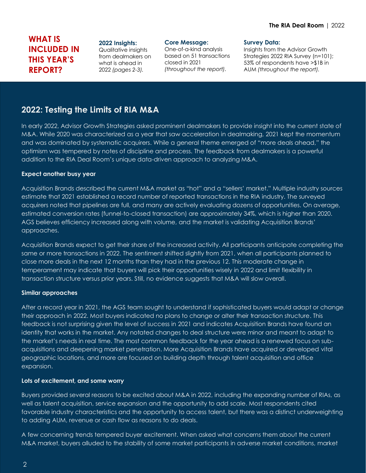## **WHAT IS INCLUDED IN THIS YEAR'S REPORT?**

#### **2022 Insights:**

Qualitative insights from dealmakers on what is ahead in 2022 *(pages 2-3).*

#### **Core Message:**

One-of-a-kind analysis based on 51 transactions closed in 2021 *(throughout the report).*

#### **Survey Data:**

Insights from the Advisor Growth Strategies 2022 RIA Survey (n=101); 53% of respondents have >\$1B in AUM *(throughout the report).*

## **2022: Testing the Limits of RIA M&A**

In early 2022, Advisor Growth Strategies asked prominent dealmakers to provide insight into the current state of M&A. While 2020 was characterized as a year that saw acceleration in dealmaking, 2021 kept the momentum and was dominated by systematic acquirers. While a general theme emerged of "more deals ahead," the optimism was tempered by notes of discipline and process. The feedback from dealmakers is a powerful addition to the RIA Deal Room's unique data-driven approach to analyzing M&A.

#### **Expect another busy year**

Acquisition Brands described the current M&A market as "hot" and a "sellers' market." Multiple industry sources estimate that 2021 established a record number of reported transactions in the RIA industry. The surveyed acquirers noted that pipelines are full, and many are actively evaluating dozens of opportunities. On average, estimated conversion rates (funnel-to-closed transaction) are approximately 34%, which is higher than 2020. AGS believes efficiency increased along with volume, and the market is validating Acquisition Brands' approaches.

Acquisition Brands expect to get their share of the increased activity. All participants anticipate completing the same or more transactions in 2022. The sentiment shifted slightly from 2021, when all participants planned to close more deals in the next 12 months than they had in the previous 12. This moderate change in temperament may indicate that buyers will pick their opportunities wisely in 2022 and limit flexibility in transaction structure versus prior years. Still, no evidence suggests that M&A will slow overall.

#### **Similar approaches**

After a record year in 2021, the AGS team sought to understand if sophisticated buyers would adapt or change their approach in 2022. Most buyers indicated no plans to change or alter their transaction structure. This feedback is not surprising given the level of success in 2021 and indicates Acquisition Brands have found an identity that works in the market. Any notated changes to deal structure were minor and meant to adapt to the market's needs in real time. The most common feedback for the year ahead is a renewed focus on subacquisitions and deepening market penetration. More Acquisition Brands have acquired or developed vital geographic locations, and more are focused on building depth through talent acquisition and office expansion.

#### **Lots of excitement, and some worry**

Buyers provided several reasons to be excited about M&A in 2022, including the expanding number of RIAs, as well as talent acquisition, service expansion and the opportunity to add scale. Most respondents cited favorable industry characteristics and the opportunity to access talent, but there was a distinct underweighting to adding AUM, revenue or cash flow as reasons to do deals.

A few concerning trends tempered buyer excitement. When asked what concerns them about the current M&A market, buyers alluded to the stability of some market participants in adverse market conditions, market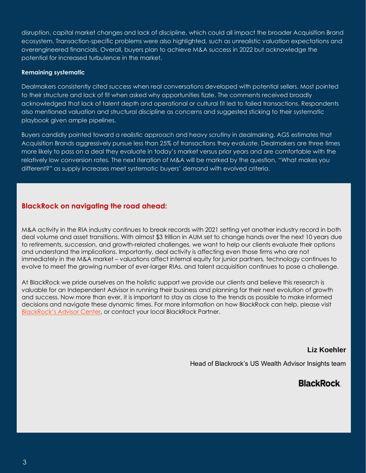disruption, capital market changes and lack of discipline, which could all impact the broader Acquisition Brand ecosystem. Transaction-specific problems were also highlighted, such as unrealistic valuation expectations and overengineered financials. Overall, buyers plan to achieve M&A success in 2022 but acknowledge the potential for increased turbulence in the market.

#### **Remaining systematic**

Dealmakers consistently cited success when real conversations developed with potential sellers. Most pointed to their structure and lack of fit when asked why opportunities fizzle. The comments received broadly acknowledged that lack of talent depth and operational or cultural fit led to failed transactions. Respondents also mentioned valuation and structural discipline as concerns and suggested sticking to their systematic playbook given ample pipelines.

Buyers candidly pointed toward a realistic approach and heavy scrutiny in dealmaking. AGS estimates that Acquisition Brands aggressively pursue less than 25% of transactions they evaluate. Dealmakers are three times more likely to pass on a deal they evaluate in today's market versus prior years and are comfortable with the relatively low conversion rates. The next iteration of M&A will be marked by the question, "What makes you different?" as supply increases meet systematic buyers' demand with evolved criteria.

#### **BlackRock on navigating the road ahead:**

M&A activity in the RIA industry continues to break records with 2021 setting yet another industry record in both deal volume and asset transitions. With almost \$3 trillion in AUM set to change hands over the next 10 years due to retirements, succession, and growth-related challenges, we want to help our clients evaluate their options and understand the implications. Importantly, deal activity is affecting even those firms who are not immediately in the M&A market – valuations affect internal equity for junior partners, technology continues to evolve to meet the growing number of ever-larger RIAs, and talent acquisition continues to pose a challenge.

At BlackRock we pride ourselves on the holistic support we provide our clients and believe this research is valuable for an Independent Advisor in running their business and planning for their next evolution of growth and success. Now more than ever, it is important to stay as close to the trends as possible to make informed decisions and navigate these dynamic times. For more information on how BlackRock can help, please visit [BlackRock's Advisor Center](https://www.blackrock.com/us/financial-professionals/practice/mergers-acquisition), or contact your local BlackRock Partner.

#### **Liz Koehler**

Head of Blackrock's US Wealth Advisor Insights team

## **BlackRock**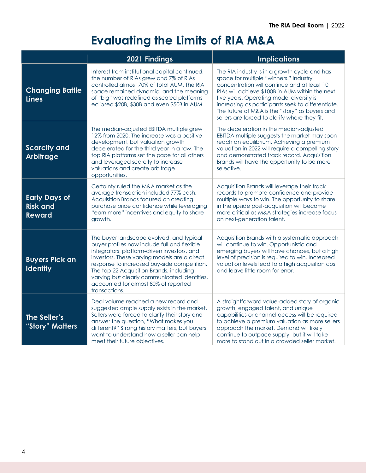## **Evaluating the Limits of RIA M&A**

|                                                          | 2021 Findings                                                                                                                                                                                                                                                                                                                                                                               | <b>Implications</b>                                                                                                                                                                                                                                                                                                                                                                           |
|----------------------------------------------------------|---------------------------------------------------------------------------------------------------------------------------------------------------------------------------------------------------------------------------------------------------------------------------------------------------------------------------------------------------------------------------------------------|-----------------------------------------------------------------------------------------------------------------------------------------------------------------------------------------------------------------------------------------------------------------------------------------------------------------------------------------------------------------------------------------------|
| <b>Changing Battle</b><br><b>Lines</b>                   | Interest from institutional capital continued,<br>the number of RIAs grew and 7% of RIAs<br>controlled almost 70% of total AUM. The RIA<br>space remained dynamic, and the meaning<br>of "big" was redefined as scaled platforms<br>eclipsed \$20B, \$30B and even \$50B in AUM.                                                                                                            | The RIA industry is in a growth cycle and has<br>space for multiple "winners." Industry<br>concentration will continue and at least 10<br>RIAs will achieve \$100B in AUM within the next<br>five years. Operating model diversity is<br>increasing as participants seek to differentiate.<br>The future of M&A is the "story" as buyers and<br>sellers are forced to clarify where they fit. |
| <b>Scarcity and</b><br><b>Arbitrage</b>                  | The median-adjusted EBITDA multiple grew<br>12% from 2020. The increase was a positive<br>development, but valuation growth<br>decelerated for the third year in a row. The<br>top RIA platforms set the pace for all others<br>and leveraged scarcity to increase<br>valuations and create arbitrage<br>opportunities.                                                                     | The deceleration in the median-adjusted<br>EBITDA multiple suggests the market may soon<br>reach an equilibrium. Achieving a premium<br>valuation in 2022 will require a compelling story<br>and demonstrated track record. Acquisition<br>Brands will have the opportunity to be more<br>selective.                                                                                          |
| <b>Early Days of</b><br><b>Risk and</b><br><b>Reward</b> | Certainty ruled the M&A market as the<br>average transaction included 77% cash.<br>Acquisition Brands focused on creating<br>purchase price confidence while leveraging<br>"earn more" incentives and equity to share<br>growth.                                                                                                                                                            | Acquisition Brands will leverage their track<br>records to promote confidence and provide<br>multiple ways to win. The opportunity to share<br>in the upside post-acquisition will become<br>more critical as M&A strategies increase focus<br>on next-generation talent.                                                                                                                     |
| <b>Buyers Pick an</b><br><b>Identity</b>                 | The buyer landscape evolved, and typical<br>buyer profiles now include full and flexible<br>integrators, platform-driven investors, and<br>investors. These varying models are a direct<br>response to increased buy-side competition.<br>The top 22 Acquisition Brands, including<br>varying but clearly communicated identities,<br>accounted for almost 80% of reported<br>transactions. | Acquisition Brands with a systematic approach<br>will continue to win. Opportunistic and<br>emerging buyers will have chances, but a high<br>level of precision is required to win. Increased<br>valuation levels lead to a high acquisition cost<br>and leave little room for error.                                                                                                         |
| The Seller's<br>"Story" Matters                          | Deal volume reached a new record and<br>suggested ample supply exists in the market.<br>Sellers were forced to clarify their story and<br>answer the question, "What makes you<br>different?" Strong history matters, but buyers<br>want to understand how a seller can help<br>meet their future objectives.                                                                               | A straightforward value-added story of organic<br>growth, engaged talent, and unique<br>capabilities or channel access will be required<br>to achieve a premium valuation as more sellers<br>approach the market. Demand will likely<br>continue to outpace supply, but it will take<br>more to stand out in a crowded seller market.                                                         |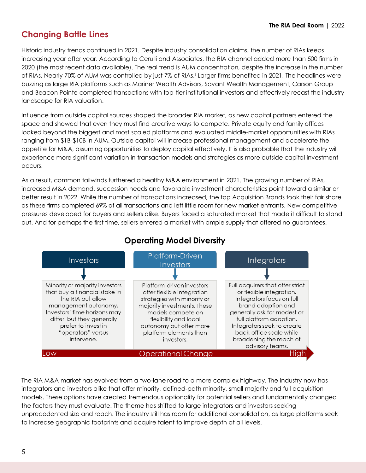## **Changing Battle Lines**

Historic industry trends continued in 2021. Despite industry consolidation claims, the number of RIAs keeps increasing year after year. According to Cerulli and Associates, the RIA channel added more than 500 firms in 2020 (the most recent data available). The real trend is AUM concentration, despite the increase in the number of RIAs. Nearly 70% of AUM was controlled by just 7% of RIAs.iI Larger firms benefited in 2021. The headlines were buzzing as large RIA platforms such as Mariner Wealth Advisors, Savant Wealth Management, Carson Group and Beacon Pointe completed transactions with top-tier institutional investors and effectively recast the industry landscape for RIA valuation.

Influence from outside capital sources shaped the broader RIA market, as new capital partners entered the space and showed that even they must find creative ways to compete. Private equity and family offices looked beyond the biggest and most scaled platforms and evaluated middle-market opportunities with RIAs ranging from \$1B-\$10B in AUM. Outside capital will increase professional management and accelerate the appetite for M&A, assuming opportunities to deploy capital effectively. It is also probable that the industry will experience more significant variation in transaction models and strategies as more outside capital investment occurs.

As a result, common tailwinds furthered a healthy M&A environment in 2021. The growing number of RIAs, increased M&A demand, succession needs and favorable investment characteristics point toward a similar or better result in 2022. While the number of transactions increased, the top Acquisition Brands took their fair share as these firms completed 69% of all transactions and left little room for new market entrants. New competitive pressures developed for buyers and sellers alike. Buyers faced a saturated market that made it difficult to stand out. And for perhaps the first time, sellers entered a market with ample supply that offered no guarantees.



## **Operating Model Diversity**

The RIA M&A market has evolved from a two-lane road to a more complex highway. The industry now has integrators and investors alike that offer minority, defined-path minority, small majority and full acquisition models. These options have created tremendous optionality for potential sellers and fundamentally changed the factors they must evaluate. The theme has shifted to large integrators and investors seeking unprecedented size and reach. The industry still has room for additional consolidation, as large platforms seek to increase geographic footprints and acquire talent to improve depth at all levels.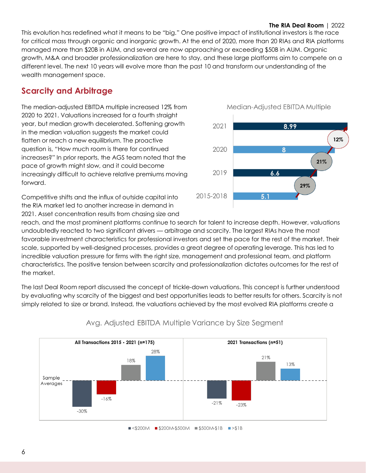#### **The RIA Deal Room** | 2022

This evolution has redefined what it means to be "big." One positive impact of institutional investors is the race for critical mass through organic and inorganic growth. At the end of 2020, more than 20 RIAs and RIA platforms managed more than \$20B in AUM, and several are now approaching or exceeding \$50B in AUM. Organic growth, M&A and broader professionalization are here to stay, and these large platforms aim to compete on a different level. The next 10 years will evolve more than the past 10 and transform our understanding of the wealth management space.

2021

2020

2019

2015-2018

## **Scarcity and Arbitrage**

The median-adjusted EBITDA multiple increased 12% from 2020 to 2021. Valuations increased for a fourth straight year, but median growth decelerated. Softening growth in the median valuation suggests the market could flatten or reach a new equilibrium. The proactive question is, "How much room is there for continued increases?" In prior reports, the AGS team noted that the pace of growth might slow, and it could become increasingly difficult to achieve relative premiums moving forward.

Competitive shifts and the influx of outside capital into the RIA market led to another increase in demand in 2021. Asset concentration results from chasing size and

reach, and the most prominent platforms continue to search for talent to increase depth. However, valuations undoubtedly reacted to two significant drivers — arbitrage and scarcity. The largest RIAs have the most favorable investment characteristics for professional investors and set the pace for the rest of the market. Their scale, supported by well-designed processes, provides a great degree of operating leverage. This has led to incredible valuation pressure for firms with the right size, management and professional team, and platform characteristics. The positive tension between scarcity and professionalization dictates outcomes for the rest of the market.

The last Deal Room report discussed the concept of trickle-down valuations. This concept is further understood by evaluating why scarcity of the biggest and best opportunities leads to better results for others. Scarcity is not simply related to size or brand. Instead, the valuations achieved by the most evolved RIA platforms create a



#### Avg. Adjusted EBITDA Multiple Variance by Size Segment

 $\blacksquare$  <\$200M  $\blacksquare$  \$200M-\$500M  $\blacksquare$  \$500M-\$1B  $\blacksquare$ >\$1B



8.99

я

6.6

51

12%

21%

29%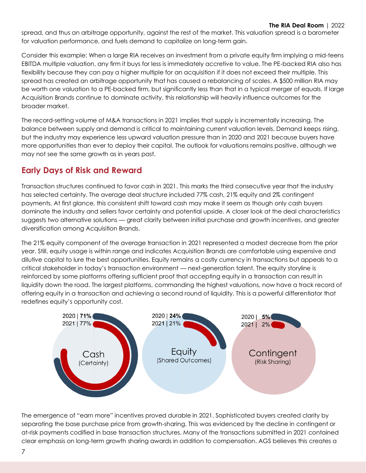spread, and thus an arbitrage opportunity, against the rest of the market. This valuation spread is a barometer for valuation performance, and fuels demand to capitalize on long-term gain.

Consider this example: When a large RIA receives an investment from a private equity firm implying a mid-teens EBITDA multiple valuation, any firm it buys for less is immediately accretive to value. The PE-backed RIA also has flexibility because they can pay a higher multiple for an acquisition if it does not exceed their multiple. This spread has created an arbitrage opportunity that has caused a rebalancing of scales. A \$500 million RIA may be worth one valuation to a PE-backed firm, but significantly less than that in a typical merger of equals. If large Acquisition Brands continue to dominate activity, this relationship will heavily influence outcomes for the broader market.

The record-setting volume of M&A transactions in 2021 implies that supply is incrementally increasing. The balance between supply and demand is critical to maintaining current valuation levels. Demand keeps rising, but the industry may experience less upward valuation pressure than in 2020 and 2021 because buyers have more opportunities than ever to deploy their capital. The outlook for valuations remains positive, although we may not see the same growth as in years past.

## **Early Days of Risk and Reward**

Transaction structures continued to favor cash in 2021. This marks the third consecutive year that the industry has selected certainty. The average deal structure included 77% cash, 21% equity and 2% contingent payments. At first glance, this consistent shift toward cash may make it seem as though only cash buyers dominate the industry and sellers favor certainty and potential upside. A closer look at the deal characteristics suggests two alternative solutions — great clarity between initial purchase and growth incentives, and greater diversification among Acquisition Brands.

The 21% equity component of the average transaction in 2021 represented a modest decrease from the prior year. Still, equity usage is within range and indicates Acquisition Brands are comfortable using expensive and dilutive capital to lure the best opportunities. Equity remains a costly currency in transactions but appeals to a critical stakeholder in today's transaction environment — next-generation talent. The equity storyline is reinforced by some platforms offering sufficient proof that accepting equity in a transaction can result in liquidity down the road. The largest platforms, commanding the highest valuations, now have a track record of offering equity in a transaction and achieving a second round of liquidity. This is a powerful differentiator that redefines equity's opportunity cost.



The emergence of "earn more" incentives proved durable in 2021. Sophisticated buyers created clarity by separating the base purchase price from growth-sharing. This was evidenced by the decline in contingent or at-risk payments codified in base transaction structures. Many of the transactions submitted in 2021 contained clear emphasis on long-term growth sharing awards in addition to compensation. AGS believes this creates a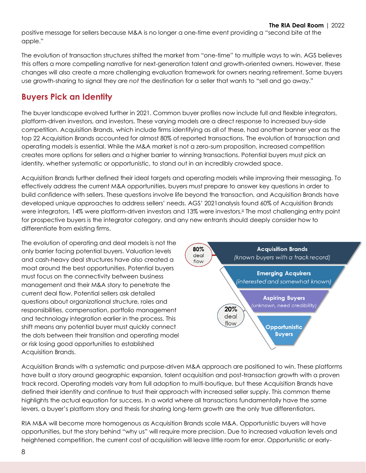positive message for sellers because M&A is no longer a one-time event providing a "second bite at the apple."

The evolution of transaction structures shifted the market from "one-time" to multiple ways to win. AGS believes this offers a more compelling narrative for next-generation talent and growth-oriented owners. However, these changes will also create a more challenging evaluation framework for owners nearing retirement. Some buyers use growth-sharing to signal they are *not* the destination for a seller that wants to "sell and go away."

## **Buyers Pick an Identity**

The buyer landscape evolved further in 2021. Common buyer profiles now include full and flexible integrators, platform-driven investors, and investors. These varying models are a direct response to increased buy-side competition. Acquisition Brands, which include firms identifying as all of these, had another banner year as the top 22 Acquisition Brands accounted for almost 80% of reported transactions. The evolution of transaction and operating models is essential. While the M&A market is not a zero-sum proposition, increased competition creates more options for sellers and a higher barrier to winning transactions. Potential buyers must pick an identity, whether systematic or opportunistic, to stand out in an incredibly crowded space.

Acquisition Brands further defined their ideal targets and operating models while improving their messaging. To effectively address the current M&A opportunities, buyers must prepare to answer key questions in order to build confidence with sellers. These questions involve life beyond the transaction, and Acquisition Brands have developed unique approaches to address sellers' needs. AGS' 2021analysis found 60% of Acquisition Brands were integrators, 14% were platform-driven investors and 13% were investors.iiI The most challenging entry point for prospective buyers is the integrator category, and any new entrants should deeply consider how to differentiate from existing firms.

The evolution of operating and deal models is not the only barrier facing potential buyers. Valuation levels and cash-heavy deal structures have also created a moat around the best opportunities. Potential buyers must focus on the connectivity between business management and their M&A story to penetrate the current deal flow. Potential sellers ask detailed questions about organizational structure, roles and responsibilities, compensation, portfolio management and technology integration earlier in the process. This shift means any potential buyer must quickly connect the dots between their transition and operating model or risk losing good opportunities to established Acquisition Brands.



Acquisition Brands with a systematic and purpose-driven M&A approach are positioned to win. These platforms have built a story around geographic expansion, talent acquisition and post-transaction growth with a proven track record. Operating models vary from full adoption to multi-boutique, but these Acquisition Brands have defined their identity and continue to trust their approach with increased seller supply. This common theme highlights the actual equation for success. In a world where all transactions fundamentally have the same levers, a buyer's platform story and thesis for sharing long-term growth are the only true differentiators.

RIA M&A will become more homogenous as Acquisition Brands scale M&A. Opportunistic buyers will have opportunities, but the story behind "why us" will require more precision. Due to increased valuation levels and heightened competition, the current cost of acquisition will leave little room for error. Opportunistic or early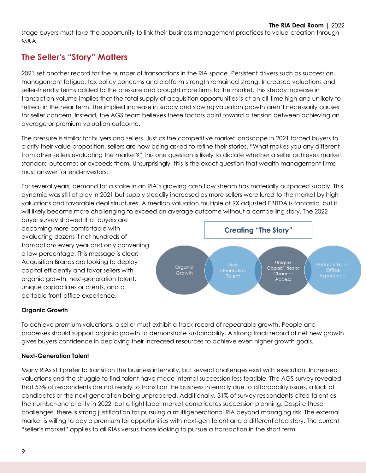stage buyers must take the opportunity to link their business management practices to value-creation through M&A.

## **The Seller's "Story" Matters**

2021 set another record for the number of transactions in the RIA space. Persistent drivers such as succession, management fatigue, tax policy concerns and platform strength remained strong. Increased valuations and seller-friendly terms added to the pressure and brought more firms to the market. This steady increase in transaction volume implies that the total supply of acquisition opportunities is at an all-time high and unlikely to retreat in the near term. The implied increase in supply and slowing valuation growth aren't necessarily causes for seller concern. Instead, the AGS team believes these factors point toward a tension between achieving an average or premium valuation outcome.

The pressure is similar for buyers and sellers. Just as the competitive market landscape in 2021 forced buyers to clarify their value proposition, sellers are now being asked to refine their stories. "What makes you any different from other sellers evaluating the market?" This one question is likely to dictate whether a seller achieves market standard outcomes or exceeds them. Unsurprisingly, this is the exact question that wealth management firms must answer for end-investors.

For several years, demand for a stake in an RIA's growing cash flow stream has materially outpaced supply. This dynamic was still at play in 2021 but supply steadily increased as more sellers were lured to the market by high valuations and favorable deal structures. A median valuation multiple of 9X adjusted EBITDA is fantastic, but it will likely become more challenging to exceed an average outcome without a compelling story. The 2022

buyer survey showed that buyers are becoming more comfortable with evaluating dozens if not hundreds of transactions every year and only converting a low percentage. This message is clear: Acquisition Brands are looking to deploy capital efficiently and favor sellers with organic growth, next-generation talent, unique capabilities or clients, and a portable front-office experience.



#### **Organic Growth**

To achieve premium valuations, a seller must exhibit a track record of repeatable growth. People and processes should support organic growth to demonstrate sustainability. A strong track record of net new growth gives buyers confidence in deploying their increased resources to achieve even higher growth goals.

#### **Next-Generation Talent**

Many RIAs still prefer to transition the business internally, but several challenges exist with execution. Increased valuations and the struggle to find talent have made internal succession less feasible. The AGS survey revealed that 53% of respondents are not ready to transition the business internally due to affordability issues, a lack of candidates or the next generation being unprepared. Additionally, 31% of survey respondents cited talent as the number-one priority in 2022, but a tight labor market complicates succession planning. Despite these challenges, there is strong justification for pursuing a multigenerational RIA beyond managing risk. The external market is willing to pay a premium for opportunities with next-gen talent and a differentiated story. The current "seller's market" applies to all RIAs versus those looking to pursue a transaction in the short term.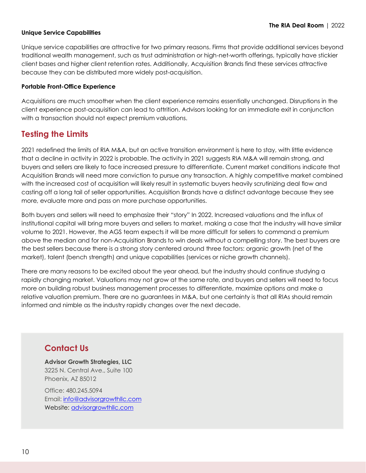#### **Unique Service Capabilities**

Unique service capabilities are attractive for two primary reasons. Firms that provide additional services beyond traditional wealth management, such as trust administration or high-net-worth offerings, typically have stickier client bases and higher client retention rates. Additionally, Acquisition Brands find these services attractive because they can be distributed more widely post-acquisition.

#### **Portable Front-Office Experience**

Acquisitions are much smoother when the client experience remains essentially unchanged. Disruptions in the client experience post-acquisition can lead to attrition. Advisors looking for an immediate exit in conjunction with a transaction should not expect premium valuations.

### **Testing the Limits**

2021 redefined the limits of RIA M&A, but an active transition environment is here to stay, with little evidence that a decline in activity in 2022 is probable. The activity in 2021 suggests RIA M&A will remain strong, and buyers and sellers are likely to face increased pressure to differentiate. Current market conditions indicate that Acquisition Brands will need more conviction to pursue any transaction. A highly competitive market combined with the increased cost of acquisition will likely result in systematic buyers heavily scrutinizing deal flow and casting off a long tail of seller opportunities. Acquisition Brands have a distinct advantage because they see more, evaluate more and pass on more purchase opportunities.

Both buyers and sellers will need to emphasize their "story" In 2022. Increased valuations and the influx of institutional capital will bring more buyers and sellers to market, making a case that the industry will have similar volume to 2021. However, the AGS team expects it will be more difficult for sellers to command a premium above the median and for non-Acquisition Brands to win deals without a compelling story. The best buyers are the best sellers because there is a strong story centered around three factors: organic growth (net of the market), talent (bench strength) and unique capabilities (services or niche growth channels).

There are many reasons to be excited about the year ahead, but the industry should continue studying a rapidly changing market. Valuations may not grow at the same rate, and buyers and sellers will need to focus more on building robust business management processes to differentiate, maximize options and make a relative valuation premium. There are no guarantees in M&A, but one certainty is that all RIAs should remain informed and nimble as the industry rapidly changes over the next decade.

### **Contact Us**

**Advisor Growth Strategies, LLC** 3225 N. Central Ave., Suite 100 Phoenix, AZ 85012

Office: 480.245.5094 Email: [info@advisorgrowthllc.com](mailto:info@advisorgrowthllc.com) Website: [advisorgrowthllc.com](file:///S:/Personal%20Folders/AGS%20Corporate%20Documents/Research/The%20RIA%20Deal%20Room%202022/advisorgrowthllc.com)